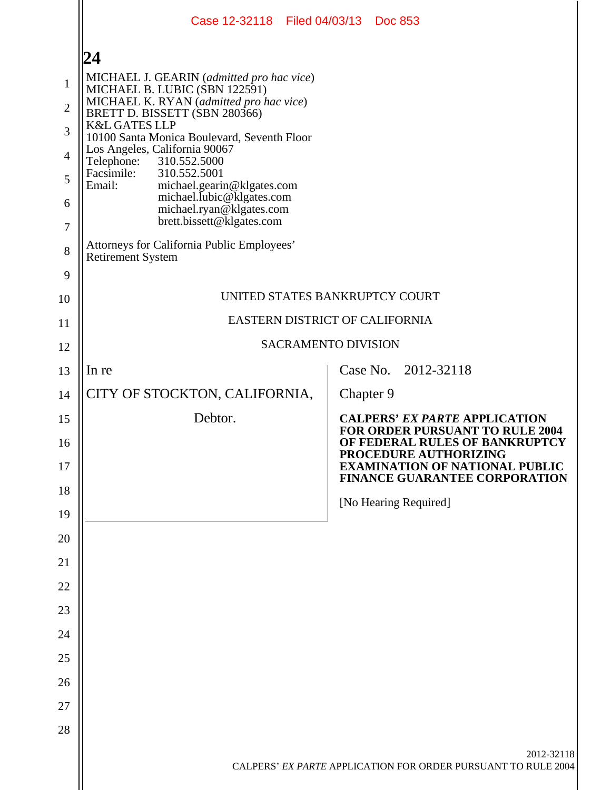|                | Case 12-32118 Filed 04/03/13 Doc 853                                       |                                                                                                                  |  |  |  |  |
|----------------|----------------------------------------------------------------------------|------------------------------------------------------------------------------------------------------------------|--|--|--|--|
|                | 24                                                                         |                                                                                                                  |  |  |  |  |
| $\mathbf{1}$   | MICHAEL J. GEARIN (admitted pro hac vice)<br>MICHAEL B. LUBIC (SBN 122591) |                                                                                                                  |  |  |  |  |
| $\overline{2}$ | MICHAEL K. RYAN (admitted pro hac vice)<br>BRETT D. BISSETT (SBN 280366)   |                                                                                                                  |  |  |  |  |
| 3              | <b>K&amp;L GATES LLP</b><br>10100 Santa Monica Boulevard, Seventh Floor    |                                                                                                                  |  |  |  |  |
| $\overline{4}$ | Los Angeles, California 90067<br>310.552.5000<br>Telephone:                |                                                                                                                  |  |  |  |  |
| 5              | Facsimile:<br>310.552.5001<br>Email:<br>michael.gearin@klgates.com         |                                                                                                                  |  |  |  |  |
| 6              | michael.lubic@klgates.com<br>michael.ryan@klgates.com                      |                                                                                                                  |  |  |  |  |
| 7              | brett.bissett@klgates.com                                                  |                                                                                                                  |  |  |  |  |
| 8              | Attorneys for California Public Employees'<br><b>Retirement System</b>     |                                                                                                                  |  |  |  |  |
| 9              |                                                                            |                                                                                                                  |  |  |  |  |
| 10             |                                                                            | UNITED STATES BANKRUPTCY COURT                                                                                   |  |  |  |  |
| 11             |                                                                            | EASTERN DISTRICT OF CALIFORNIA                                                                                   |  |  |  |  |
| 12             |                                                                            | <b>SACRAMENTO DIVISION</b>                                                                                       |  |  |  |  |
| 13             | In re                                                                      | Case No. 2012-32118                                                                                              |  |  |  |  |
| 14             | CITY OF STOCKTON, CALIFORNIA,                                              | Chapter 9                                                                                                        |  |  |  |  |
| 15             | Debtor.                                                                    | <b>CALPERS' EX PARTE APPLICATION</b><br><b>FOR ORDER PURSUANT TO RULE 2004</b><br>OF FEDERAL RULES OF BANKRUPTCY |  |  |  |  |
| 16<br>17       |                                                                            | PROCEDURE AUTHORIZING<br><b>EXAMINATION OF NATIONAL PUBLIC</b>                                                   |  |  |  |  |
| 18             |                                                                            | <b>FINANCE GUARANTEE CORPORATION</b>                                                                             |  |  |  |  |
| 19             |                                                                            | [No Hearing Required]                                                                                            |  |  |  |  |
| 20             |                                                                            |                                                                                                                  |  |  |  |  |
| 21             |                                                                            |                                                                                                                  |  |  |  |  |
| 22             |                                                                            |                                                                                                                  |  |  |  |  |
| 23             |                                                                            |                                                                                                                  |  |  |  |  |
| 24             |                                                                            |                                                                                                                  |  |  |  |  |
| 25             |                                                                            |                                                                                                                  |  |  |  |  |
| 26             |                                                                            |                                                                                                                  |  |  |  |  |
| 27             |                                                                            |                                                                                                                  |  |  |  |  |
| 28             |                                                                            |                                                                                                                  |  |  |  |  |
|                |                                                                            | 2012-32118<br>CALPERS' EX PARTE APPLICATION FOR ORDER PURSUANT TO RULE 2004                                      |  |  |  |  |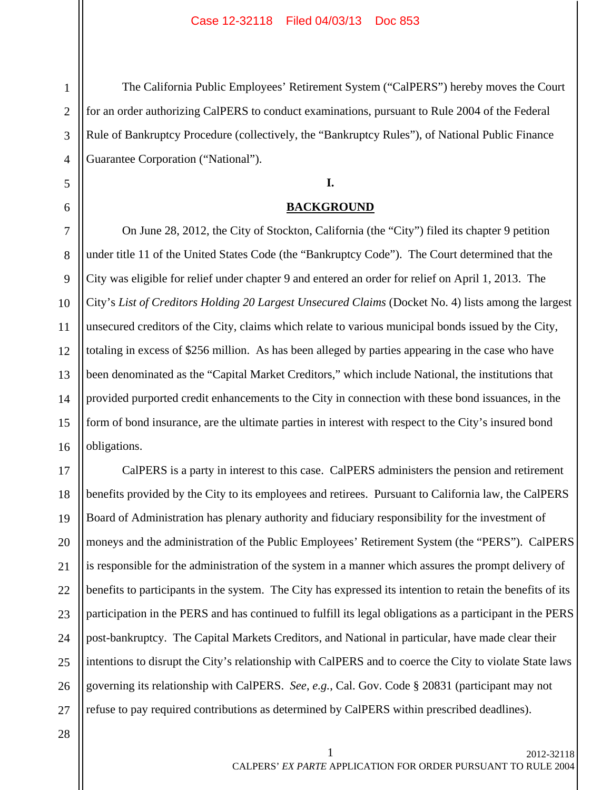The California Public Employees' Retirement System ("CalPERS") hereby moves the Court for an order authorizing CalPERS to conduct examinations, pursuant to Rule 2004 of the Federal Rule of Bankruptcy Procedure (collectively, the "Bankruptcy Rules"), of National Public Finance Guarantee Corporation ("National").

# **I.**

# **BACKGROUND**

On June 28, 2012, the City of Stockton, California (the "City") filed its chapter 9 petition under title 11 of the United States Code (the "Bankruptcy Code"). The Court determined that the City was eligible for relief under chapter 9 and entered an order for relief on April 1, 2013. The City's *List of Creditors Holding 20 Largest Unsecured Claims* (Docket No. 4) lists among the largest unsecured creditors of the City, claims which relate to various municipal bonds issued by the City, totaling in excess of \$256 million. As has been alleged by parties appearing in the case who have been denominated as the "Capital Market Creditors," which include National, the institutions that provided purported credit enhancements to the City in connection with these bond issuances, in the form of bond insurance, are the ultimate parties in interest with respect to the City's insured bond obligations.

23 24 25 26 27 CalPERS is a party in interest to this case. CalPERS administers the pension and retirement benefits provided by the City to its employees and retirees. Pursuant to California law, the CalPERS Board of Administration has plenary authority and fiduciary responsibility for the investment of moneys and the administration of the Public Employees' Retirement System (the "PERS"). CalPERS is responsible for the administration of the system in a manner which assures the prompt delivery of benefits to participants in the system. The City has expressed its intention to retain the benefits of its participation in the PERS and has continued to fulfill its legal obligations as a participant in the PERS post-bankruptcy. The Capital Markets Creditors, and National in particular, have made clear their intentions to disrupt the City's relationship with CalPERS and to coerce the City to violate State laws governing its relationship with CalPERS. *See*, *e.g.*, Cal. Gov. Code § 20831 (participant may not refuse to pay required contributions as determined by CalPERS within prescribed deadlines).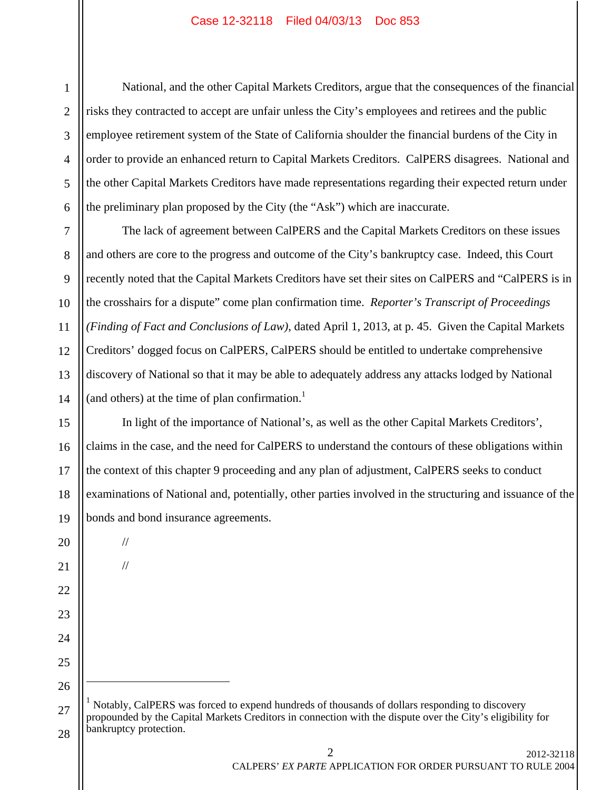6 National, and the other Capital Markets Creditors, argue that the consequences of the financial risks they contracted to accept are unfair unless the City's employees and retirees and the public employee retirement system of the State of California shoulder the financial burdens of the City in order to provide an enhanced return to Capital Markets Creditors. CalPERS disagrees. National and the other Capital Markets Creditors have made representations regarding their expected return under the preliminary plan proposed by the City (the "Ask") which are inaccurate.

7 8 9 10 11 12 13 14 The lack of agreement between CalPERS and the Capital Markets Creditors on these issues and others are core to the progress and outcome of the City's bankruptcy case. Indeed, this Court recently noted that the Capital Markets Creditors have set their sites on CalPERS and "CalPERS is in the crosshairs for a dispute" come plan confirmation time. *Reporter's Transcript of Proceedings (Finding of Fact and Conclusions of Law)*, dated April 1, 2013, at p. 45. Given the Capital Markets Creditors' dogged focus on CalPERS, CalPERS should be entitled to undertake comprehensive discovery of National so that it may be able to adequately address any attacks lodged by National (and others) at the time of plan confirmation. $<sup>1</sup>$ </sup>

15 16 17 18 19 In light of the importance of National's, as well as the other Capital Markets Creditors', claims in the case, and the need for CalPERS to understand the contours of these obligations within the context of this chapter 9 proceeding and any plan of adjustment, CalPERS seeks to conduct examinations of National and, potentially, other parties involved in the structuring and issuance of the bonds and bond insurance agreements.

20

21

22

23

24

25

26

 $\overline{a}$ 

//

//

27 28 <sup>1</sup> Notably, CalPERS was forced to expend hundreds of thousands of dollars responding to discovery propounded by the Capital Markets Creditors in connection with the dispute over the City's eligibility for bankruptcy protection.

2 2012-32118

CALPERS' *EX PARTE* APPLICATION FOR ORDER PURSUANT TO RULE 2004

1

2

3

4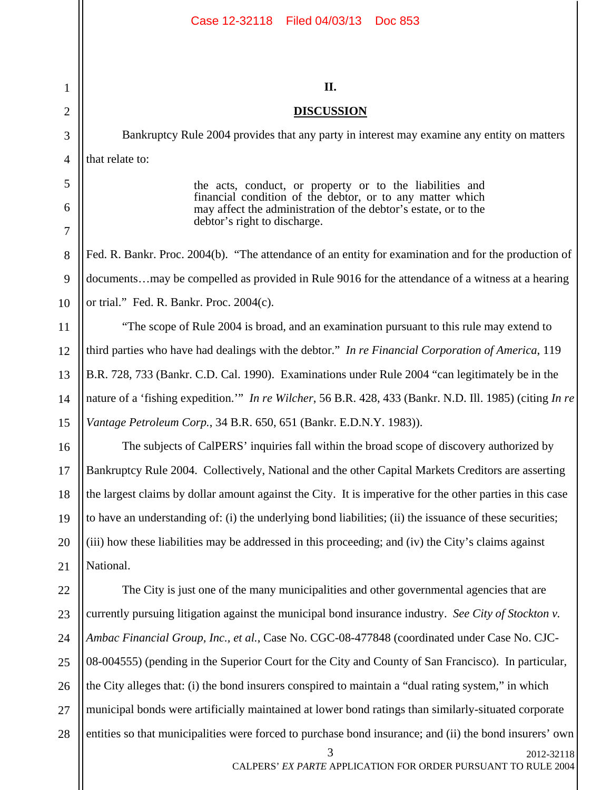| Case 12-32118 Filed 04/03/13 Doc 853                                                                                                                                                                                     |
|--------------------------------------------------------------------------------------------------------------------------------------------------------------------------------------------------------------------------|
|                                                                                                                                                                                                                          |
| II.                                                                                                                                                                                                                      |
| <b>DISCUSSION</b>                                                                                                                                                                                                        |
| Bankruptcy Rule 2004 provides that any party in interest may examine any entity on matters                                                                                                                               |
| that relate to:                                                                                                                                                                                                          |
| the acts, conduct, or property or to the liabilities and<br>financial condition of the debtor, or to any matter which<br>may affect the administration of the debtor's estate, or to the<br>debtor's right to discharge. |
| Fed. R. Bankr. Proc. 2004(b). "The attendance of an entity for examination and for the production of                                                                                                                     |
| documentsmay be compelled as provided in Rule 9016 for the attendance of a witness at a hearing                                                                                                                          |
| or trial." Fed. R. Bankr. Proc. 2004(c).                                                                                                                                                                                 |
| "The scope of Rule 2004 is broad, and an examination pursuant to this rule may extend to                                                                                                                                 |
| third parties who have had dealings with the debtor." In re Financial Corporation of America, 119                                                                                                                        |
| B.R. 728, 733 (Bankr. C.D. Cal. 1990). Examinations under Rule 2004 "can legitimately be in the                                                                                                                          |
| nature of a 'fishing expedition.'" In re Wilcher, 56 B.R. 428, 433 (Bankr. N.D. Ill. 1985) (citing In re                                                                                                                 |
| Vantage Petroleum Corp., 34 B.R. 650, 651 (Bankr. E.D.N.Y. 1983)).                                                                                                                                                       |
| The subjects of CalPERS' inquiries fall within the broad scope of discovery authorized by                                                                                                                                |
| Bankruptcy Rule 2004. Collectively, National and the other Capital Markets Creditors are asserting                                                                                                                       |
| the largest claims by dollar amount against the City. It is imperative for the other parties in this case                                                                                                                |
| to have an understanding of: (i) the underlying bond liabilities; (ii) the issuance of these securities;                                                                                                                 |
| (iii) how these liabilities may be addressed in this proceeding; and (iv) the City's claims against                                                                                                                      |
| National.                                                                                                                                                                                                                |
| The City is just one of the many municipalities and other governmental agencies that are                                                                                                                                 |
| currently pursuing litigation against the municipal bond insurance industry. See City of Stockton v.                                                                                                                     |
| Ambac Financial Group, Inc., et al., Case No. CGC-08-477848 (coordinated under Case No. CJC-                                                                                                                             |
| 08-004555) (pending in the Superior Court for the City and County of San Francisco). In particular,                                                                                                                      |
| the City alleges that: (i) the bond insurers conspired to maintain a "dual rating system," in which                                                                                                                      |
| municipal bonds were artificially maintained at lower bond ratings than similarly-situated corporate                                                                                                                     |
| entities so that municipalities were forced to purchase bond insurance; and (ii) the bond insurers' own<br>3<br>2012-32118<br>CALPERS' EX PARTE APPLICATION FOR ORDER PURSUANT TO RULE 2004                              |
|                                                                                                                                                                                                                          |

1

2

3

4

5

6

7

8

9

10

11

12

13

14

15

16

17

18

19

20

21

22

23

24

25

26

27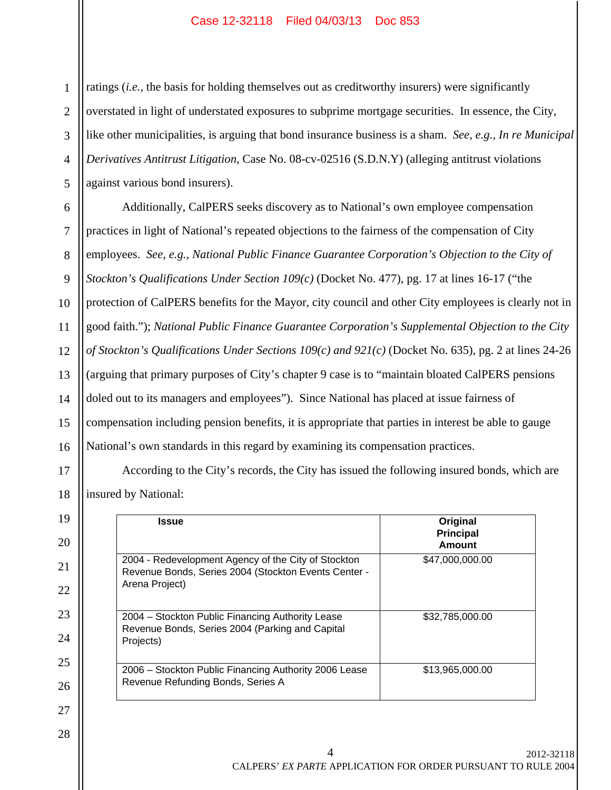1 2 3 4 5 ratings (*i.e.*, the basis for holding themselves out as creditworthy insurers) were significantly overstated in light of understated exposures to subprime mortgage securities. In essence, the City, like other municipalities, is arguing that bond insurance business is a sham. *See, e.g., In re Municipal Derivatives Antitrust Litigation*, Case No. 08-cv-02516 (S.D.N.Y) (alleging antitrust violations against various bond insurers).

6 7 8 9 10 11 12 13 14 15 16 Additionally, CalPERS seeks discovery as to National's own employee compensation practices in light of National's repeated objections to the fairness of the compensation of City employees. *See*, *e.g.*, *National Public Finance Guarantee Corporation's Objection to the City of Stockton's Qualifications Under Section 109(c)* (Docket No. 477), pg. 17 at lines 16-17 ("the protection of CalPERS benefits for the Mayor, city council and other City employees is clearly not in good faith."); *National Public Finance Guarantee Corporation's Supplemental Objection to the City of Stockton's Qualifications Under Sections 109(c) and 921(c)* (Docket No. 635), pg. 2 at lines 24-26 (arguing that primary purposes of City's chapter 9 case is to "maintain bloated CalPERS pensions doled out to its managers and employees"). Since National has placed at issue fairness of compensation including pension benefits, it is appropriate that parties in interest be able to gauge National's own standards in this regard by examining its compensation practices.

According to the City's records, the City has issued the following insured bonds, which are insured by National:

17

18

19

20

21

22

23

24

25

26

27

| <b>Issue</b>                                                                                                                  | Original<br><b>Principal</b><br><b>Amount</b> |
|-------------------------------------------------------------------------------------------------------------------------------|-----------------------------------------------|
| 2004 - Redevelopment Agency of the City of Stockton<br>Revenue Bonds, Series 2004 (Stockton Events Center -<br>Arena Project) | \$47,000,000.00                               |
| 2004 – Stockton Public Financing Authority Lease<br>Revenue Bonds, Series 2004 (Parking and Capital<br>Projects)              | \$32,785,000.00                               |
| 2006 – Stockton Public Financing Authority 2006 Lease<br>Revenue Refunding Bonds, Series A                                    | \$13,965,000.00                               |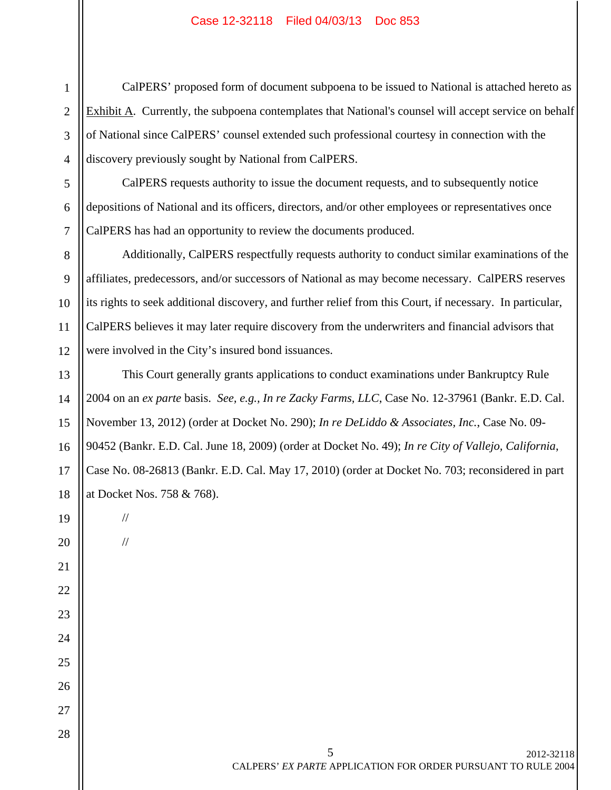CalPERS' proposed form of document subpoena to be issued to National is attached hereto as Exhibit A. Currently, the subpoena contemplates that National's counsel will accept service on behalf of National since CalPERS' counsel extended such professional courtesy in connection with the discovery previously sought by National from CalPERS.

 CalPERS requests authority to issue the document requests, and to subsequently notice depositions of National and its officers, directors, and/or other employees or representatives once CalPERS has had an opportunity to review the documents produced.

Additionally, CalPERS respectfully requests authority to conduct similar examinations of the affiliates, predecessors, and/or successors of National as may become necessary. CalPERS reserves its rights to seek additional discovery, and further relief from this Court, if necessary. In particular, CalPERS believes it may later require discovery from the underwriters and financial advisors that were involved in the City's insured bond issuances.

This Court generally grants applications to conduct examinations under Bankruptcy Rule 2004 on an *ex parte* basis. *See, e.g., In re Zacky Farms, LLC*, Case No. 12-37961 (Bankr. E.D. Cal. November 13, 2012) (order at Docket No. 290); *In re DeLiddo & Associates, Inc.*, Case No. 09- 90452 (Bankr. E.D. Cal. June 18, 2009) (order at Docket No. 49); *In re City of Vallejo, California*, Case No. 08-26813 (Bankr. E.D. Cal. May 17, 2010) (order at Docket No. 703; reconsidered in part at Docket Nos. 758 & 768).

//

//

1

2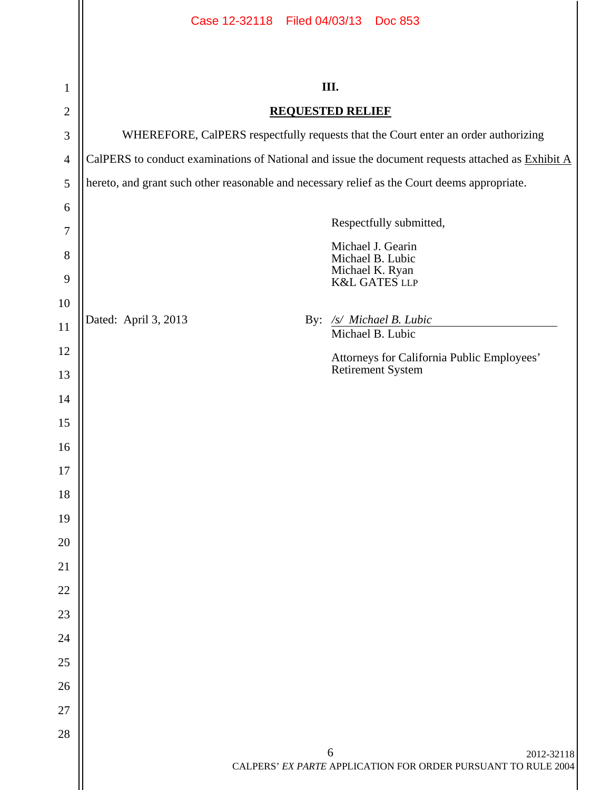|                     | Case 12-32118 Filed 04/03/13 Doc 853                                                         |                                                                                                   |
|---------------------|----------------------------------------------------------------------------------------------|---------------------------------------------------------------------------------------------------|
|                     |                                                                                              |                                                                                                   |
| 1                   |                                                                                              | III.                                                                                              |
| $\mathbf{2}$        |                                                                                              | <b>REQUESTED RELIEF</b>                                                                           |
| 3                   |                                                                                              | WHEREFORE, CalPERS respectfully requests that the Court enter an order authorizing                |
| $\overline{4}$<br>5 |                                                                                              | CalPERS to conduct examinations of National and issue the document requests attached as Exhibit A |
| 6                   | hereto, and grant such other reasonable and necessary relief as the Court deems appropriate. |                                                                                                   |
| 7                   |                                                                                              | Respectfully submitted,                                                                           |
| 8                   |                                                                                              | Michael J. Gearin                                                                                 |
| 9                   |                                                                                              | Michael B. Lubic<br>Michael K. Ryan                                                               |
| 10                  |                                                                                              | <b>K&amp;L GATES LLP</b>                                                                          |
| 11                  | Dated: April 3, 2013                                                                         | By: /s/ Michael B. Lubic                                                                          |
| 12                  |                                                                                              | Michael B. Lubic                                                                                  |
| 13                  |                                                                                              | Attorneys for California Public Employees'<br><b>Retirement System</b>                            |
| 14                  |                                                                                              |                                                                                                   |
| 15                  |                                                                                              |                                                                                                   |
| 16                  |                                                                                              |                                                                                                   |
| 17                  |                                                                                              |                                                                                                   |
| 18                  |                                                                                              |                                                                                                   |
| 19                  |                                                                                              |                                                                                                   |
| 20                  |                                                                                              |                                                                                                   |
| 21                  |                                                                                              |                                                                                                   |
| 22                  |                                                                                              |                                                                                                   |
| 23                  |                                                                                              |                                                                                                   |
| 24                  |                                                                                              |                                                                                                   |
| 25                  |                                                                                              |                                                                                                   |
| 26                  |                                                                                              |                                                                                                   |
| 27                  |                                                                                              |                                                                                                   |
| 28                  |                                                                                              |                                                                                                   |
|                     |                                                                                              | 6<br>2012-32118<br>CALPERS' EX PARTE APPLICATION FOR ORDER PURSUANT TO RULE 2004                  |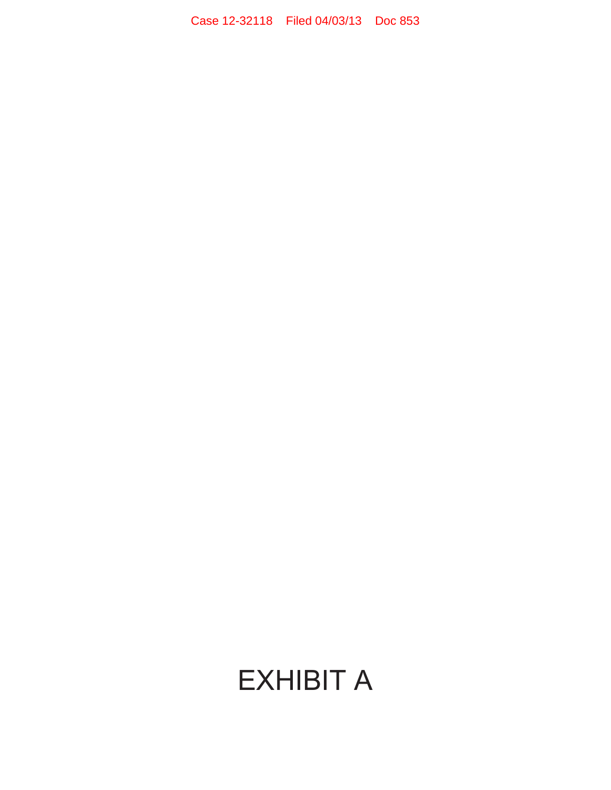# EXHIBIT A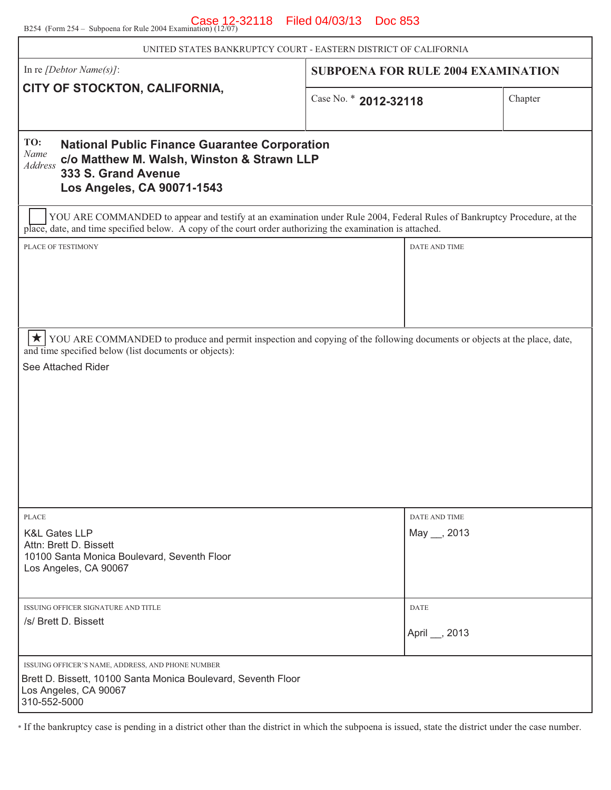B254 (Form 254 – Subpoena for Rule 2004 Examination)  $(12/07)$  Filed 04/03/13 Doc 853

| B254 (Form 254 – Subpoena for Rule 2004 Examination) $(12/07)$                                                                                                                                                                        |                                           |                      |         |  |  |
|---------------------------------------------------------------------------------------------------------------------------------------------------------------------------------------------------------------------------------------|-------------------------------------------|----------------------|---------|--|--|
| UNITED STATES BANKRUPTCY COURT - EASTERN DISTRICT OF CALIFORNIA                                                                                                                                                                       |                                           |                      |         |  |  |
| In re [Debtor Name(s)]:                                                                                                                                                                                                               | <b>SUBPOENA FOR RULE 2004 EXAMINATION</b> |                      |         |  |  |
| CITY OF STOCKTON, CALIFORNIA,                                                                                                                                                                                                         | Case No. * 2012-32118                     |                      | Chapter |  |  |
| TO:<br><b>National Public Finance Guarantee Corporation</b><br>Name<br>c/o Matthew M. Walsh, Winston & Strawn LLP<br>Address<br>333 S. Grand Avenue<br>Los Angeles, CA 90071-1543                                                     |                                           |                      |         |  |  |
| YOU ARE COMMANDED to appear and testify at an examination under Rule 2004, Federal Rules of Bankruptcy Procedure, at the<br>place, date, and time specified below. A copy of the court order authorizing the examination is attached. |                                           |                      |         |  |  |
| PLACE OF TESTIMONY                                                                                                                                                                                                                    |                                           | <b>DATE AND TIME</b> |         |  |  |
|                                                                                                                                                                                                                                       |                                           |                      |         |  |  |
| ★ YOU ARE COMMANDED to produce and permit inspection and copying of the following documents or objects at the place, date,<br>and time specified below (list documents or objects):<br>See Attached Rider                             |                                           |                      |         |  |  |
| <b>PLACE</b>                                                                                                                                                                                                                          |                                           | <b>DATE AND TIME</b> |         |  |  |
| <b>K&amp;L Gates LLP</b><br>Attn: Brett D. Bissett<br>10100 Santa Monica Boulevard, Seventh Floor<br>Los Angeles, CA 90067                                                                                                            |                                           | May __, 2013         |         |  |  |
| ISSUING OFFICER SIGNATURE AND TITLE                                                                                                                                                                                                   |                                           | <b>DATE</b>          |         |  |  |
| /s/ Brett D. Bissett                                                                                                                                                                                                                  |                                           | April __, 2013       |         |  |  |
| ISSUING OFFICER'S NAME, ADDRESS, AND PHONE NUMBER<br>Brett D. Bissett, 10100 Santa Monica Boulevard, Seventh Floor<br>Los Angeles, CA 90067<br>310-552-5000                                                                           |                                           |                      |         |  |  |

\* If the bankruptcy case is pending in a district other than the district in which the subpoena is issued, state the district under the case number.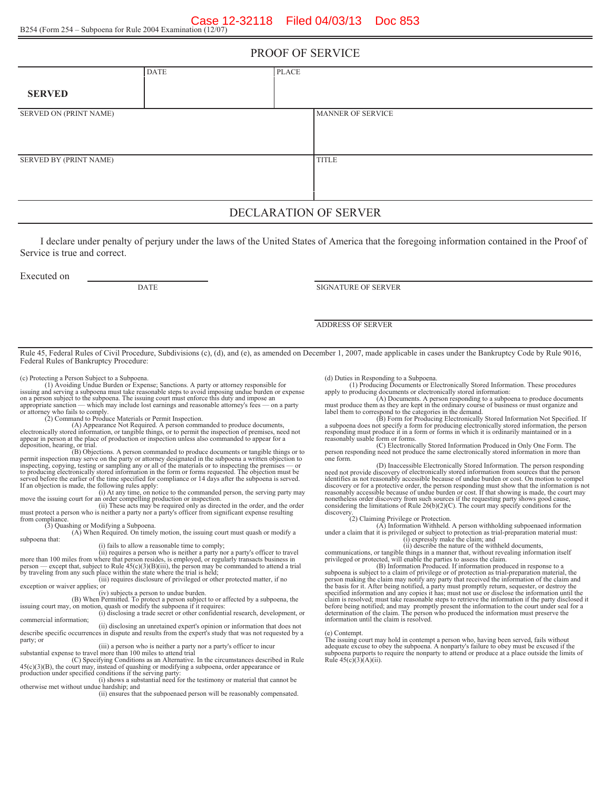#### PROOF OF SERVICE

|                        | <b>DATE</b> | <b>PLACE</b> |                          |
|------------------------|-------------|--------------|--------------------------|
| <b>SERVED</b>          |             |              |                          |
| SERVED ON (PRINT NAME) |             |              | <b>MANNER OF SERVICE</b> |
| SERVED BY (PRINT NAME) |             |              | TITLE                    |

## DECLARATION OF SERVER

I declare under penalty of perjury under the laws of the United States of America that the foregoing information contained in the Proof of Service is true and correct.

Executed on

DATE SIGNATURE OF SERVER

ADDRESS OF SERVER

Rule 45, Federal Rules of Civil Procedure, Subdivisions (c), (d), and (e), as amended on December 1, 2007, made applicable in cases under the Bankruptcy Code by Rule 9016, Federal Rules of Bankruptcy Procedure:

(c) Protecting a Person Subject to a Subpoena.

(1) Avoiding Undue Burden or Expense; Sanctions. A party or attorney responsible for issuing and serving a subpoena must take reasonable steps to avoid imposing undue burden or expense on a person subject to the subpoena. The issuing court must enforce this duty and impose an appropriate sanction — which may include lost earnings and reasonable attorney's fees — on a party or attorney who fails to comply

(A) Appearance Not Required. A person commanded to produce documents, electronically stored information, or tangible things, or to permit the inspection of premises, need not appear in person at the place of production or inspection unless also commanded to appear for a deposition, hearing, or trial.

(B) Objections. A person commanded to produce documents or tangible things or to permit inspection may serve on the party or attorney designated in the subpoena a written objection to inspecting, copying, testing or sampling any or all of the materials or to inspecting the premises — or to producing electronically stored information in the form or forms requested. The objection must be served before the earlier of the time specified for compliance or 14 days after the subpoena is served.<br>If an objection is made, the following rules apply:<br>(i) At any time, on notice to the commanded person, the serving pa

move the issuing court for an order compelling production or inspection.<br>(ii) These acts may be required only as directed in the order, and the order

must protect a person who is neither a party nor a party's officer from significant expense resulting from compliance.

(3) Quashing or Modifying a Subpoena. (A) When Required. On timely motion, the issuing court must quash or modify a subpoena that:

(i) fails to allow a reasonable time to comply;

(ii) requires a person who is neither a party nor a party's officer to travel more than 100 miles from where that person resides, is employed, or regularly transacts business in person — except that, subject to Rule 45(c)(3)(B)(iii), the person may be commanded to attend a trial

by traveling from any such place within the state where the trial is held;<br>
(iii) requires disclosure of privileged or other protected matter, if no<br>
exception or waiver applies; or exception or waiver applies; or<br>(iv) subjects a person to undue burden.

(B) When Permitted. To protect a person subject to or affected by a subpoena, the<br>issuing court may, on motion, quash or modify the subpoena if it requires:<br>(i) disclosing a trade secret or other confidential research, dev

commercial information;

(ii) disclosing an unretained expert's opinion or information that does not describe specific occurrences in dispute and results from the expert's study that was not requested by a party; or

(iii) a person who is neither a party nor a party's officer to incur substantial expense to travel more than 100 miles to attend trial

(C) Specifying Conditions as an Alternative. In the circumstances described in Rule 45(c)(3)(B), the court may, instead of quashing or modifying a subpoena, order appearance or

production under specified conditions if the serving party:<br>(i) shows a substantial need for the testimony or material that cannot be otherwise met without undue hardship; and

(ii) ensures that the subpoenaed person will be reasonably compensated.

(d) Duties in Responding to a Subpoena. (1) Producing Documents or Electronically Stored Information. These procedures apply to producing documents or electronically stored information:

(A) Documents. A person responding to a subpoena to produce documents must produce them as they are kept in the ordinary course of business or must organize and

label them to correspond to the categories in the demand. (B) Form for Producing Electronically Stored Information Not Specified. If a subpoena does not specify a form for producing electronically stored information, the person responding must produce it in a form or forms in which it is ordinarily maintained or in a reasonably usable form or forms.

(C) Electronically Stored Information Produced in Only One Form. The person responding need not produce the same electronically stored information in more than one form.

(D) Inaccessible Electronically Stored Information. The person responding need not provide discovery of electronically stored information from sources that the person identifies as not reasonably accessible because of undue burden or cost. On motion to compel discovery or for a protective order, the person responding must show that the information is not reasonably accessible because of undue burden or cost. If that showing is made, the court may nonetheless order discovery from such sources if the requesting party shows good cause, considering the limitations of Rule 26(b)(2)(C). The court may specify conditions for the

discovery. (2) Claiming Privilege or Protection.

(A) Information Withheld. A person withholding subpoenaed information under a claim that it is privileged or subject to protection as trial-preparation material must: (i) expressly make the claim; and

(ii) describe the nature of the withheld documents,

communications, or tangible things in a manner that, without revealing information itself privileged or protected, will enable the parties to assess the claim. (B) Information Produced. If information produced in response to a

subpoena is subject to a claim of privilege or of protection as trial-preparation material, the<br>person making the claim may notify any party that received the information of the claim and<br>the basis for it. After being noti determination of the claim. The person who produced the information must preserve the information until the claim is resolved.

(e) Contempt.

The issuing court may hold in contempt a person who, having been served, fails without adequate excuse to obey the subpoena. A nonparty's failure to obey must be excused if the subpoena purports to require the nonparty to attend or produce at a place outside the limits of Rule  $45(c)(3)(A)(ii)$ .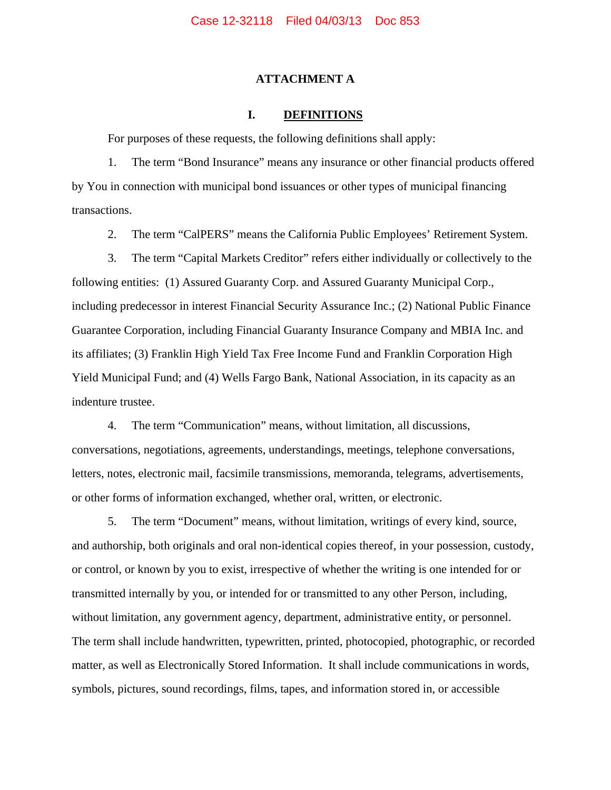## **ATTACHMENT A**

## **I. DEFINITIONS**

For purposes of these requests, the following definitions shall apply:

1. The term "Bond Insurance" means any insurance or other financial products offered by You in connection with municipal bond issuances or other types of municipal financing transactions.

2. The term "CalPERS" means the California Public Employees' Retirement System.

3. The term "Capital Markets Creditor" refers either individually or collectively to the following entities: (1) Assured Guaranty Corp. and Assured Guaranty Municipal Corp., including predecessor in interest Financial Security Assurance Inc.; (2) National Public Finance Guarantee Corporation, including Financial Guaranty Insurance Company and MBIA Inc. and its affiliates; (3) Franklin High Yield Tax Free Income Fund and Franklin Corporation High Yield Municipal Fund; and (4) Wells Fargo Bank, National Association, in its capacity as an indenture trustee.

4. The term "Communication" means, without limitation, all discussions, conversations, negotiations, agreements, understandings, meetings, telephone conversations, letters, notes, electronic mail, facsimile transmissions, memoranda, telegrams, advertisements, or other forms of information exchanged, whether oral, written, or electronic.

5. The term "Document" means, without limitation, writings of every kind, source, and authorship, both originals and oral non-identical copies thereof, in your possession, custody, or control, or known by you to exist, irrespective of whether the writing is one intended for or transmitted internally by you, or intended for or transmitted to any other Person, including, without limitation, any government agency, department, administrative entity, or personnel. The term shall include handwritten, typewritten, printed, photocopied, photographic, or recorded matter, as well as Electronically Stored Information. It shall include communications in words, symbols, pictures, sound recordings, films, tapes, and information stored in, or accessible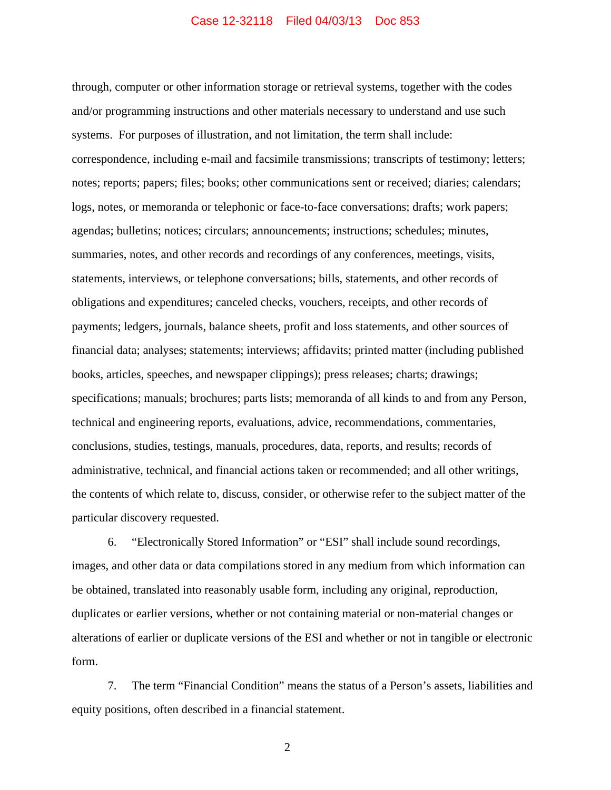through, computer or other information storage or retrieval systems, together with the codes and/or programming instructions and other materials necessary to understand and use such systems. For purposes of illustration, and not limitation, the term shall include: correspondence, including e-mail and facsimile transmissions; transcripts of testimony; letters; notes; reports; papers; files; books; other communications sent or received; diaries; calendars; logs, notes, or memoranda or telephonic or face-to-face conversations; drafts; work papers; agendas; bulletins; notices; circulars; announcements; instructions; schedules; minutes, summaries, notes, and other records and recordings of any conferences, meetings, visits, statements, interviews, or telephone conversations; bills, statements, and other records of obligations and expenditures; canceled checks, vouchers, receipts, and other records of payments; ledgers, journals, balance sheets, profit and loss statements, and other sources of financial data; analyses; statements; interviews; affidavits; printed matter (including published books, articles, speeches, and newspaper clippings); press releases; charts; drawings; specifications; manuals; brochures; parts lists; memoranda of all kinds to and from any Person, technical and engineering reports, evaluations, advice, recommendations, commentaries, conclusions, studies, testings, manuals, procedures, data, reports, and results; records of administrative, technical, and financial actions taken or recommended; and all other writings, the contents of which relate to, discuss, consider, or otherwise refer to the subject matter of the particular discovery requested.

6. "Electronically Stored Information" or "ESI" shall include sound recordings, images, and other data or data compilations stored in any medium from which information can be obtained, translated into reasonably usable form, including any original, reproduction, duplicates or earlier versions, whether or not containing material or non-material changes or alterations of earlier or duplicate versions of the ESI and whether or not in tangible or electronic form.

7. The term "Financial Condition" means the status of a Person's assets, liabilities and equity positions, often described in a financial statement.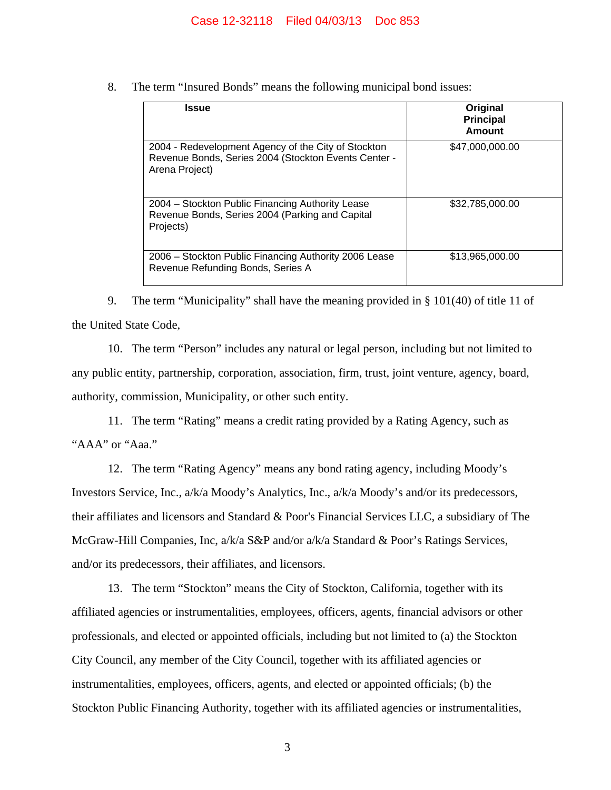8. The term "Insured Bonds" means the following municipal bond issues:

| Issue                                                                                                                         | Original<br><b>Principal</b><br>Amount |
|-------------------------------------------------------------------------------------------------------------------------------|----------------------------------------|
| 2004 - Redevelopment Agency of the City of Stockton<br>Revenue Bonds, Series 2004 (Stockton Events Center -<br>Arena Project) | \$47,000,000.00                        |
| 2004 – Stockton Public Financing Authority Lease<br>Revenue Bonds, Series 2004 (Parking and Capital<br>Projects)              | \$32,785,000,00                        |
| 2006 - Stockton Public Financing Authority 2006 Lease<br>Revenue Refunding Bonds, Series A                                    | \$13,965,000.00                        |

9. The term "Municipality" shall have the meaning provided in § 101(40) of title 11 of the United State Code,

10. The term "Person" includes any natural or legal person, including but not limited to any public entity, partnership, corporation, association, firm, trust, joint venture, agency, board, authority, commission, Municipality, or other such entity.

11. The term "Rating" means a credit rating provided by a Rating Agency, such as "AAA" or "Aaa."

12. The term "Rating Agency" means any bond rating agency, including Moody's Investors Service, Inc., a/k/a Moody's Analytics, Inc., a/k/a Moody's and/or its predecessors, their affiliates and licensors and Standard & Poor's Financial Services LLC, a subsidiary of The McGraw-Hill Companies, Inc, a/k/a S&P and/or a/k/a Standard & Poor's Ratings Services, and/or its predecessors, their affiliates, and licensors.

13. The term "Stockton" means the City of Stockton, California, together with its affiliated agencies or instrumentalities, employees, officers, agents, financial advisors or other professionals, and elected or appointed officials, including but not limited to (a) the Stockton City Council, any member of the City Council, together with its affiliated agencies or instrumentalities, employees, officers, agents, and elected or appointed officials; (b) the Stockton Public Financing Authority, together with its affiliated agencies or instrumentalities,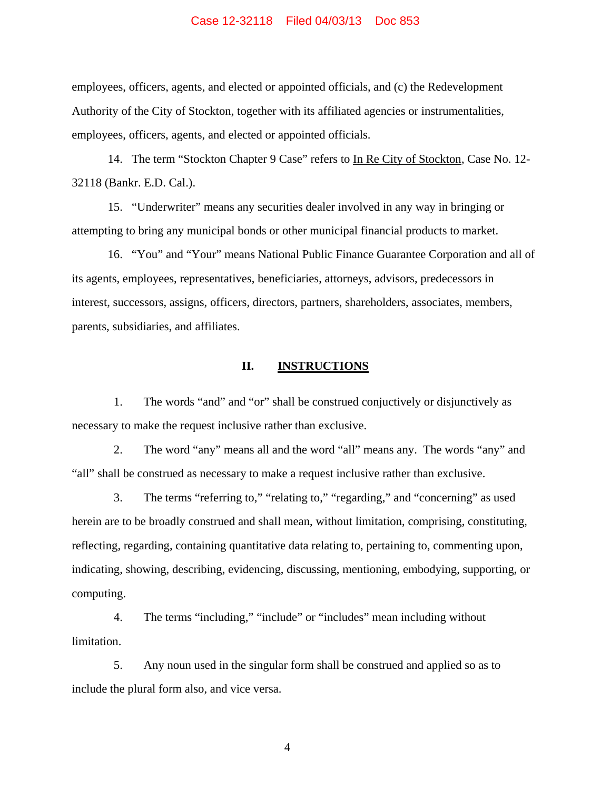employees, officers, agents, and elected or appointed officials, and (c) the Redevelopment Authority of the City of Stockton, together with its affiliated agencies or instrumentalities, employees, officers, agents, and elected or appointed officials.

14. The term "Stockton Chapter 9 Case" refers to In Re City of Stockton, Case No. 12- 32118 (Bankr. E.D. Cal.).

15. "Underwriter" means any securities dealer involved in any way in bringing or attempting to bring any municipal bonds or other municipal financial products to market.

16. "You" and "Your" means National Public Finance Guarantee Corporation and all of its agents, employees, representatives, beneficiaries, attorneys, advisors, predecessors in interest, successors, assigns, officers, directors, partners, shareholders, associates, members, parents, subsidiaries, and affiliates.

## **II. INSTRUCTIONS**

1. The words "and" and "or" shall be construed conjuctively or disjunctively as necessary to make the request inclusive rather than exclusive.

2. The word "any" means all and the word "all" means any. The words "any" and "all" shall be construed as necessary to make a request inclusive rather than exclusive.

3. The terms "referring to," "relating to," "regarding," and "concerning" as used herein are to be broadly construed and shall mean, without limitation, comprising, constituting, reflecting, regarding, containing quantitative data relating to, pertaining to, commenting upon, indicating, showing, describing, evidencing, discussing, mentioning, embodying, supporting, or computing.

4. The terms "including," "include" or "includes" mean including without limitation.

5. Any noun used in the singular form shall be construed and applied so as to include the plural form also, and vice versa.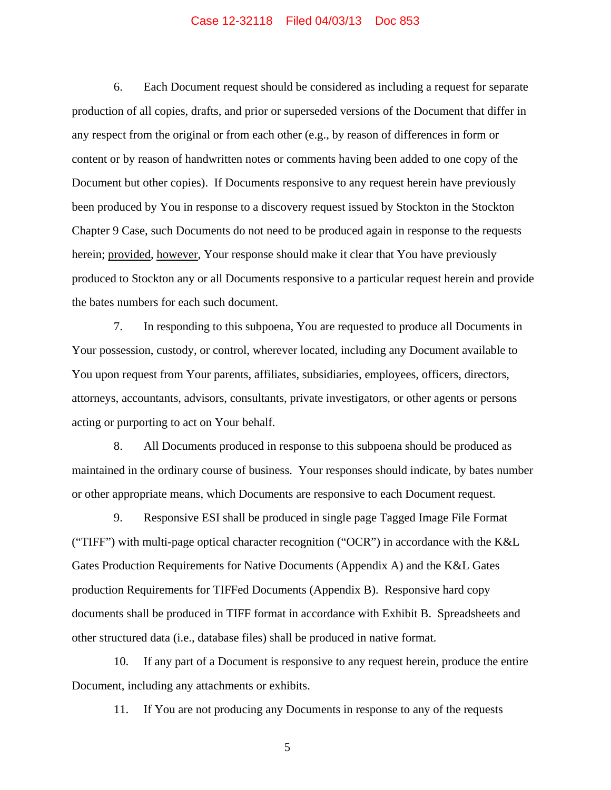6. Each Document request should be considered as including a request for separate production of all copies, drafts, and prior or superseded versions of the Document that differ in any respect from the original or from each other (e.g., by reason of differences in form or content or by reason of handwritten notes or comments having been added to one copy of the Document but other copies). If Documents responsive to any request herein have previously been produced by You in response to a discovery request issued by Stockton in the Stockton Chapter 9 Case, such Documents do not need to be produced again in response to the requests herein; provided, however, Your response should make it clear that You have previously produced to Stockton any or all Documents responsive to a particular request herein and provide the bates numbers for each such document.

7. In responding to this subpoena, You are requested to produce all Documents in Your possession, custody, or control, wherever located, including any Document available to You upon request from Your parents, affiliates, subsidiaries, employees, officers, directors, attorneys, accountants, advisors, consultants, private investigators, or other agents or persons acting or purporting to act on Your behalf.

8. All Documents produced in response to this subpoena should be produced as maintained in the ordinary course of business. Your responses should indicate, by bates number or other appropriate means, which Documents are responsive to each Document request.

9. Responsive ESI shall be produced in single page Tagged Image File Format ("TIFF") with multi-page optical character recognition ("OCR") in accordance with the K&L Gates Production Requirements for Native Documents (Appendix A) and the K&L Gates production Requirements for TIFFed Documents (Appendix B). Responsive hard copy documents shall be produced in TIFF format in accordance with Exhibit B. Spreadsheets and other structured data (i.e., database files) shall be produced in native format.

10. If any part of a Document is responsive to any request herein, produce the entire Document, including any attachments or exhibits.

11. If You are not producing any Documents in response to any of the requests

 $\overline{5}$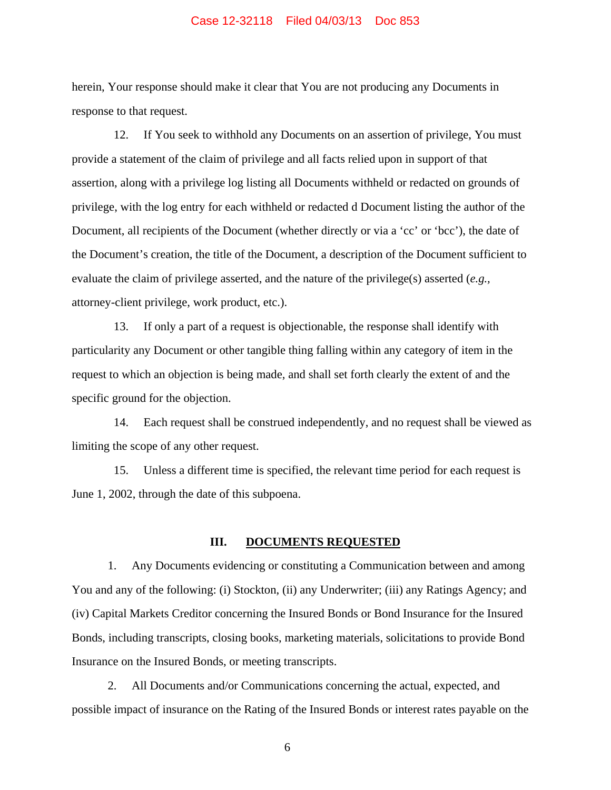herein, Your response should make it clear that You are not producing any Documents in response to that request.

12. If You seek to withhold any Documents on an assertion of privilege, You must provide a statement of the claim of privilege and all facts relied upon in support of that assertion, along with a privilege log listing all Documents withheld or redacted on grounds of privilege, with the log entry for each withheld or redacted d Document listing the author of the Document, all recipients of the Document (whether directly or via a 'cc' or 'bcc'), the date of the Document's creation, the title of the Document, a description of the Document sufficient to evaluate the claim of privilege asserted, and the nature of the privilege(s) asserted (*e.g.,* attorney-client privilege, work product, etc.).

13. If only a part of a request is objectionable, the response shall identify with particularity any Document or other tangible thing falling within any category of item in the request to which an objection is being made, and shall set forth clearly the extent of and the specific ground for the objection.

14. Each request shall be construed independently, and no request shall be viewed as limiting the scope of any other request.

15. Unless a different time is specified, the relevant time period for each request is June 1, 2002, through the date of this subpoena.

#### **III. DOCUMENTS REQUESTED**

1. Any Documents evidencing or constituting a Communication between and among You and any of the following: (i) Stockton, (ii) any Underwriter; (iii) any Ratings Agency; and (iv) Capital Markets Creditor concerning the Insured Bonds or Bond Insurance for the Insured Bonds, including transcripts, closing books, marketing materials, solicitations to provide Bond Insurance on the Insured Bonds, or meeting transcripts.

2. All Documents and/or Communications concerning the actual, expected, and possible impact of insurance on the Rating of the Insured Bonds or interest rates payable on the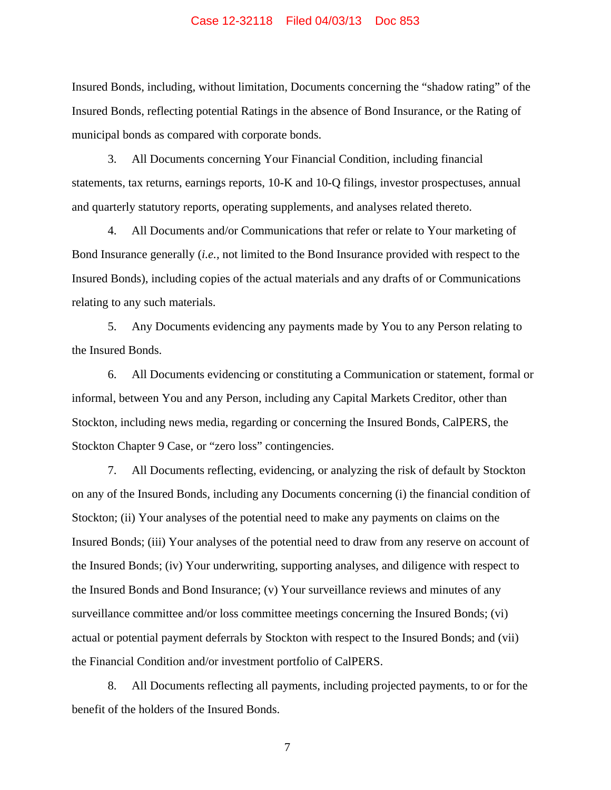Insured Bonds, including, without limitation, Documents concerning the "shadow rating" of the Insured Bonds, reflecting potential Ratings in the absence of Bond Insurance, or the Rating of municipal bonds as compared with corporate bonds.

3. All Documents concerning Your Financial Condition, including financial statements, tax returns, earnings reports, 10-K and 10-Q filings, investor prospectuses, annual and quarterly statutory reports, operating supplements, and analyses related thereto.

4. All Documents and/or Communications that refer or relate to Your marketing of Bond Insurance generally (*i.e.,* not limited to the Bond Insurance provided with respect to the Insured Bonds), including copies of the actual materials and any drafts of or Communications relating to any such materials.

5. Any Documents evidencing any payments made by You to any Person relating to the Insured Bonds.

6. All Documents evidencing or constituting a Communication or statement, formal or informal, between You and any Person, including any Capital Markets Creditor, other than Stockton, including news media, regarding or concerning the Insured Bonds, CalPERS, the Stockton Chapter 9 Case, or "zero loss" contingencies.

7. All Documents reflecting, evidencing, or analyzing the risk of default by Stockton on any of the Insured Bonds, including any Documents concerning (i) the financial condition of Stockton; (ii) Your analyses of the potential need to make any payments on claims on the Insured Bonds; (iii) Your analyses of the potential need to draw from any reserve on account of the Insured Bonds; (iv) Your underwriting, supporting analyses, and diligence with respect to the Insured Bonds and Bond Insurance; (v) Your surveillance reviews and minutes of any surveillance committee and/or loss committee meetings concerning the Insured Bonds; (vi) actual or potential payment deferrals by Stockton with respect to the Insured Bonds; and (vii) the Financial Condition and/or investment portfolio of CalPERS.

8. All Documents reflecting all payments, including projected payments, to or for the benefit of the holders of the Insured Bonds.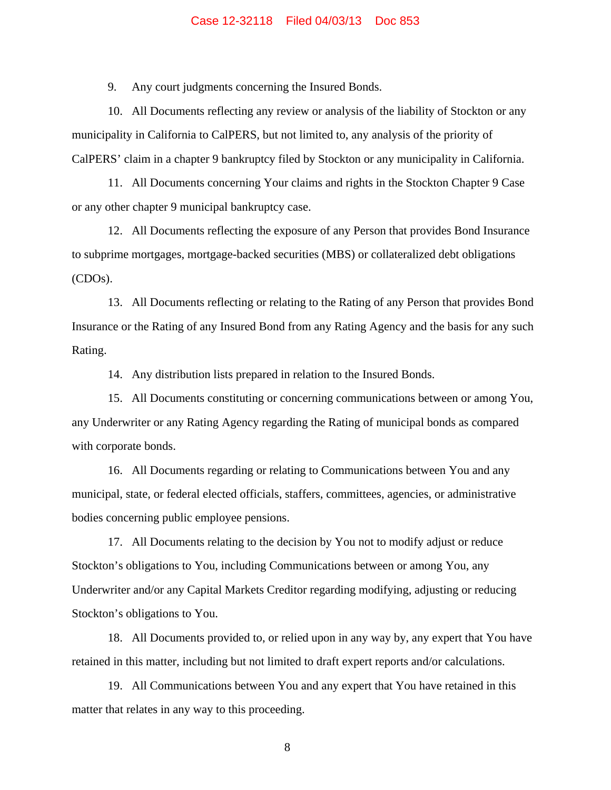9. Any court judgments concerning the Insured Bonds.

10. All Documents reflecting any review or analysis of the liability of Stockton or any municipality in California to CalPERS, but not limited to, any analysis of the priority of CalPERS' claim in a chapter 9 bankruptcy filed by Stockton or any municipality in California.

11. All Documents concerning Your claims and rights in the Stockton Chapter 9 Case or any other chapter 9 municipal bankruptcy case.

12. All Documents reflecting the exposure of any Person that provides Bond Insurance to subprime mortgages, mortgage-backed securities (MBS) or collateralized debt obligations (CDOs).

13. All Documents reflecting or relating to the Rating of any Person that provides Bond Insurance or the Rating of any Insured Bond from any Rating Agency and the basis for any such Rating.

14. Any distribution lists prepared in relation to the Insured Bonds.

15. All Documents constituting or concerning communications between or among You, any Underwriter or any Rating Agency regarding the Rating of municipal bonds as compared with corporate bonds.

16. All Documents regarding or relating to Communications between You and any municipal, state, or federal elected officials, staffers, committees, agencies, or administrative bodies concerning public employee pensions.

17. All Documents relating to the decision by You not to modify adjust or reduce Stockton's obligations to You, including Communications between or among You, any Underwriter and/or any Capital Markets Creditor regarding modifying, adjusting or reducing Stockton's obligations to You.

18. All Documents provided to, or relied upon in any way by, any expert that You have retained in this matter, including but not limited to draft expert reports and/or calculations.

19. All Communications between You and any expert that You have retained in this matter that relates in any way to this proceeding.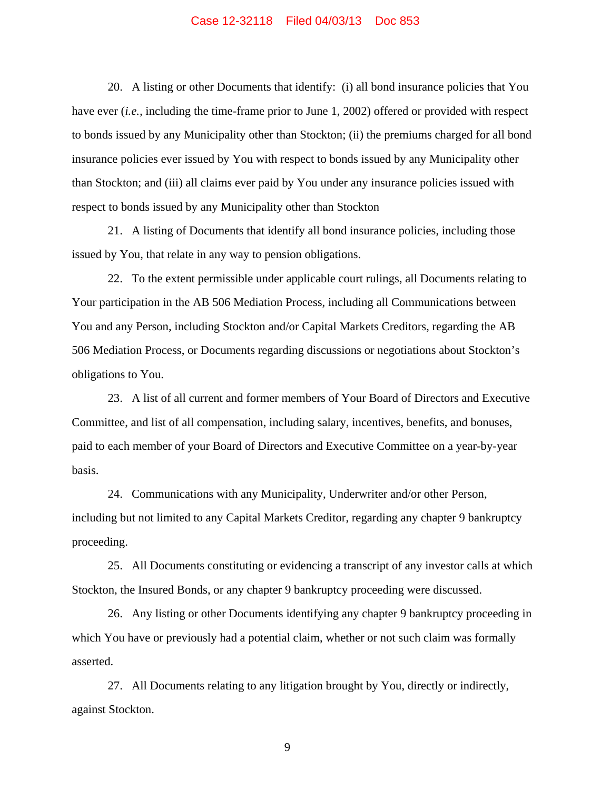20. A listing or other Documents that identify: (i) all bond insurance policies that You have ever (*i.e.,* including the time-frame prior to June 1, 2002) offered or provided with respect to bonds issued by any Municipality other than Stockton; (ii) the premiums charged for all bond insurance policies ever issued by You with respect to bonds issued by any Municipality other than Stockton; and (iii) all claims ever paid by You under any insurance policies issued with respect to bonds issued by any Municipality other than Stockton

21. A listing of Documents that identify all bond insurance policies, including those issued by You, that relate in any way to pension obligations.

22. To the extent permissible under applicable court rulings, all Documents relating to Your participation in the AB 506 Mediation Process, including all Communications between You and any Person, including Stockton and/or Capital Markets Creditors, regarding the AB 506 Mediation Process, or Documents regarding discussions or negotiations about Stockton's obligations to You.

23. A list of all current and former members of Your Board of Directors and Executive Committee, and list of all compensation, including salary, incentives, benefits, and bonuses, paid to each member of your Board of Directors and Executive Committee on a year-by-year basis.

24. Communications with any Municipality, Underwriter and/or other Person, including but not limited to any Capital Markets Creditor, regarding any chapter 9 bankruptcy proceeding.

25. All Documents constituting or evidencing a transcript of any investor calls at which Stockton, the Insured Bonds, or any chapter 9 bankruptcy proceeding were discussed.

26. Any listing or other Documents identifying any chapter 9 bankruptcy proceeding in which You have or previously had a potential claim, whether or not such claim was formally asserted.

27. All Documents relating to any litigation brought by You, directly or indirectly, against Stockton.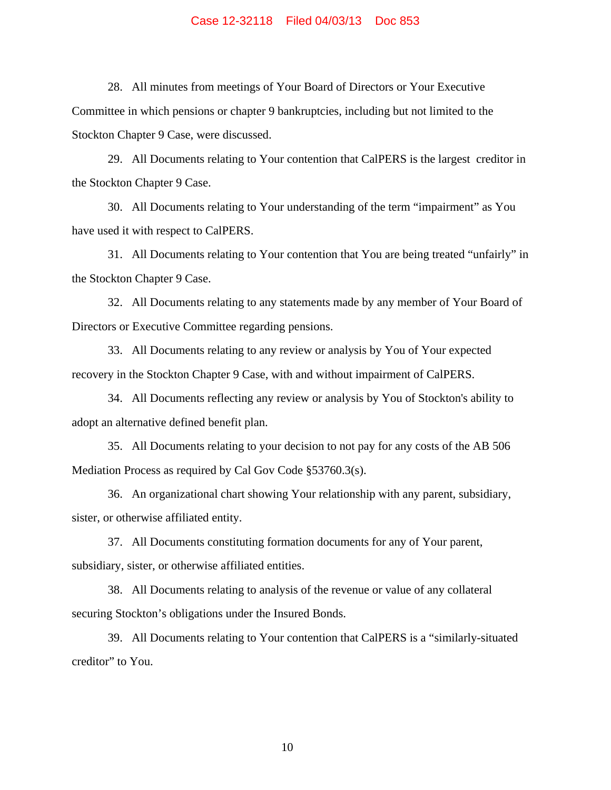28. All minutes from meetings of Your Board of Directors or Your Executive Committee in which pensions or chapter 9 bankruptcies, including but not limited to the Stockton Chapter 9 Case, were discussed.

29. All Documents relating to Your contention that CalPERS is the largest creditor in the Stockton Chapter 9 Case.

30. All Documents relating to Your understanding of the term "impairment" as You have used it with respect to CalPERS.

31. All Documents relating to Your contention that You are being treated "unfairly" in the Stockton Chapter 9 Case.

32. All Documents relating to any statements made by any member of Your Board of Directors or Executive Committee regarding pensions.

33. All Documents relating to any review or analysis by You of Your expected recovery in the Stockton Chapter 9 Case, with and without impairment of CalPERS.

34. All Documents reflecting any review or analysis by You of Stockton's ability to adopt an alternative defined benefit plan.

35. All Documents relating to your decision to not pay for any costs of the AB 506 Mediation Process as required by Cal Gov Code §53760.3(s).

36. An organizational chart showing Your relationship with any parent, subsidiary, sister, or otherwise affiliated entity.

37. All Documents constituting formation documents for any of Your parent, subsidiary, sister, or otherwise affiliated entities.

38. All Documents relating to analysis of the revenue or value of any collateral securing Stockton's obligations under the Insured Bonds.

39. All Documents relating to Your contention that CalPERS is a "similarly-situated creditor" to You.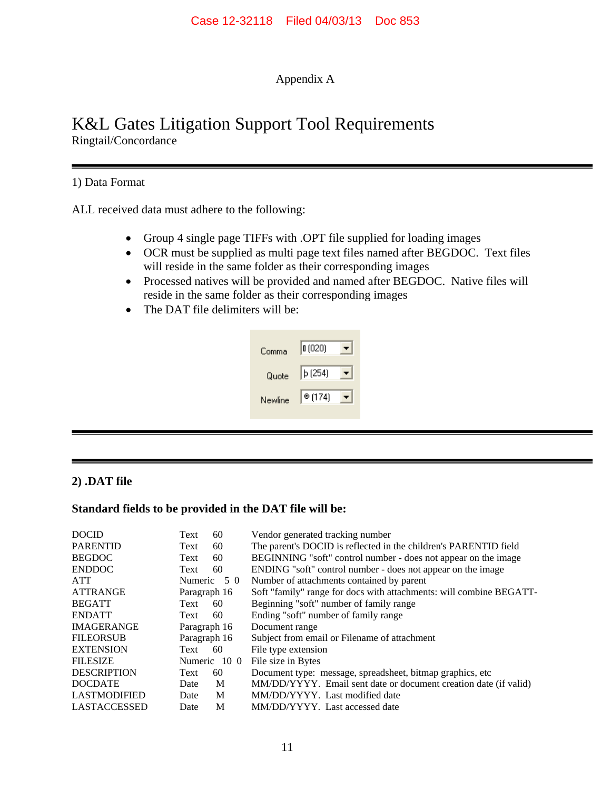# Appendix A

# K&L Gates Litigation Support Tool Requirements Ringtail/Concordance

# 1) Data Format

ALL received data must adhere to the following:

- Group 4 single page TIFFs with .OPT file supplied for loading images
- OCR must be supplied as multi page text files named after BEGDOC. Text files will reside in the same folder as their corresponding images
- Processed natives will be provided and named after BEGDOC. Native files will reside in the same folder as their corresponding images
- The DAT file delimiters will be:

| Comma   | (020)  |  |
|---------|--------|--|
| Quote   | b(254) |  |
| Newline | @(174) |  |

# **2) .DAT file**

# **Standard fields to be provided in the DAT file will be:**

| <b>DOCID</b>        | Text         | 60           | Vendor generated tracking number                                    |
|---------------------|--------------|--------------|---------------------------------------------------------------------|
| <b>PARENTID</b>     | Text         | 60           | The parent's DOCID is reflected in the children's PARENTID field    |
| <b>BEGDOC</b>       | Text         | 60           | BEGINNING "soft" control number - does not appear on the image      |
| <b>ENDDOC</b>       | Text         | 60           | ENDING "soft" control number - does not appear on the image         |
| <b>ATT</b>          | Numeric      | 50           | Number of attachments contained by parent                           |
| <b>ATTRANGE</b>     | Paragraph 16 |              | Soft "family" range for docs with attachments: will combine BEGATT- |
| <b>BEGATT</b>       | Text         | 60           | Beginning "soft" number of family range                             |
| <b>ENDATT</b>       | Text         | 60           | Ending "soft" number of family range                                |
| <b>IMAGERANGE</b>   | Paragraph 16 |              | Document range                                                      |
| <b>FILEORSUB</b>    | Paragraph 16 |              | Subject from email or Filename of attachment                        |
| <b>EXTENSION</b>    | Text         | 60           | File type extension                                                 |
| <b>FILESIZE</b>     |              | Numeric 10 0 | File size in Bytes                                                  |
| <b>DESCRIPTION</b>  | Text         | 60           | Document type: message, spreadsheet, bitmap graphics, etc.          |
| <b>DOCDATE</b>      | Date         | M            | MM/DD/YYYY. Email sent date or document creation date (if valid)    |
| <b>LASTMODIFIED</b> | Date         | M            | MM/DD/YYYY. Last modified date                                      |
| <b>LASTACCESSED</b> | Date         | М            | MM/DD/YYYY. Last accessed date                                      |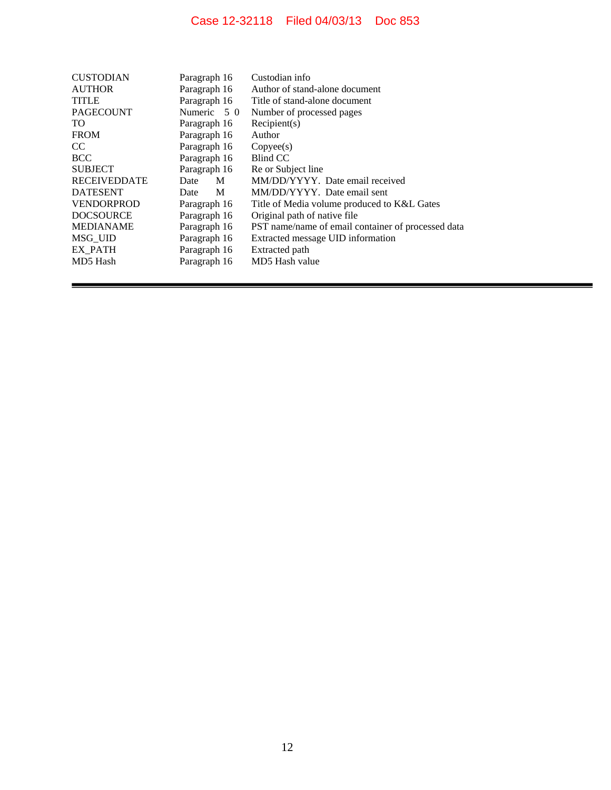| <b>CUSTODIAN</b>    | Paragraph 16 | Custodian info                                     |
|---------------------|--------------|----------------------------------------------------|
| <b>AUTHOR</b>       | Paragraph 16 | Author of stand-alone document                     |
| <b>TITLE</b>        | Paragraph 16 | Title of stand-alone document                      |
| <b>PAGECOUNT</b>    | Numeric 5 0  | Number of processed pages                          |
| TO.                 | Paragraph 16 | Recipient(s)                                       |
| <b>FROM</b>         | Paragraph 16 | Author                                             |
| CC                  | Paragraph 16 | Copyee(s)                                          |
| <b>BCC</b>          | Paragraph 16 | Blind CC                                           |
| <b>SUBJECT</b>      | Paragraph 16 | Re or Subject line                                 |
| <b>RECEIVEDDATE</b> | M<br>Date    | MM/DD/YYYY. Date email received                    |
| <b>DATESENT</b>     | M<br>Date    | MM/DD/YYYY. Date email sent                        |
| <b>VENDORPROD</b>   | Paragraph 16 | Title of Media volume produced to K&L Gates        |
| <b>DOCSOURCE</b>    | Paragraph 16 | Original path of native file.                      |
| <b>MEDIANAME</b>    | Paragraph 16 | PST name/name of email container of processed data |
| MSG UID             | Paragraph 16 | Extracted message UID information                  |
| EX PATH             | Paragraph 16 | Extracted path                                     |
| MD5 Hash            | Paragraph 16 | MD5 Hash value                                     |
|                     |              |                                                    |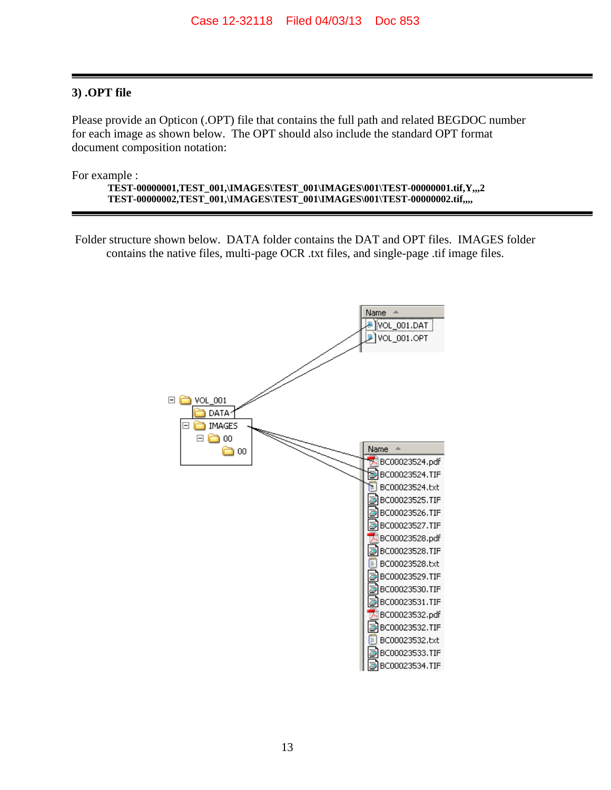# **3) .OPT file**

Please provide an Opticon (.OPT) file that contains the full path and related BEGDOC number for each image as shown below. The OPT should also include the standard OPT format document composition notation:

For example :

**TEST-00000001,TEST\_001,\IMAGES\TEST\_001\IMAGES\001\TEST-00000001.tif,Y,,,2 TEST-00000002,TEST\_001,\IMAGES\TEST\_001\IMAGES\001\TEST-00000002.tif,,,,** 

Folder structure shown below. DATA folder contains the DAT and OPT files. IMAGES folder contains the native files, multi-page OCR .txt files, and single-page .tif image files.